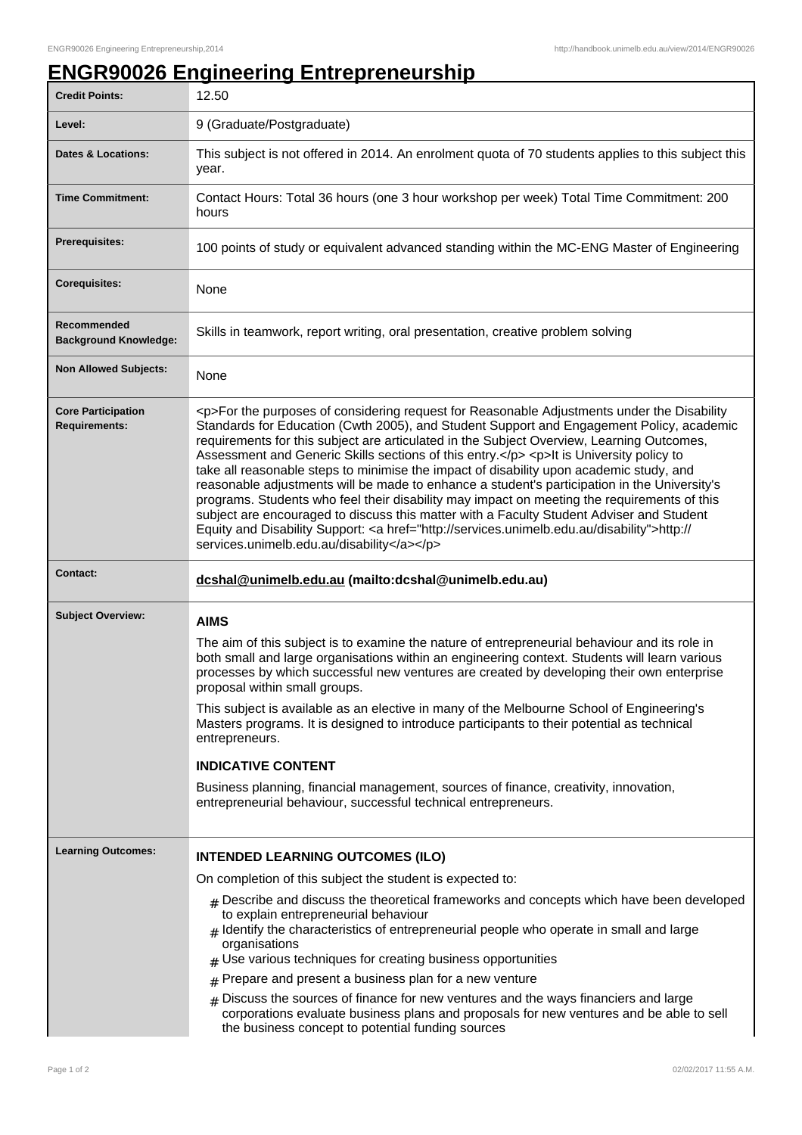## **ENGR90026 Engineering Entrepreneurship**

| <b>Credit Points:</b>                             | 12.50                                                                                                                                                                                                                                                                                                                                                                                                                                                                                                                                                                                                                                                                                                                                                                                                                                                                                                                        |
|---------------------------------------------------|------------------------------------------------------------------------------------------------------------------------------------------------------------------------------------------------------------------------------------------------------------------------------------------------------------------------------------------------------------------------------------------------------------------------------------------------------------------------------------------------------------------------------------------------------------------------------------------------------------------------------------------------------------------------------------------------------------------------------------------------------------------------------------------------------------------------------------------------------------------------------------------------------------------------------|
| Level:                                            | 9 (Graduate/Postgraduate)                                                                                                                                                                                                                                                                                                                                                                                                                                                                                                                                                                                                                                                                                                                                                                                                                                                                                                    |
| <b>Dates &amp; Locations:</b>                     | This subject is not offered in 2014. An enrolment quota of 70 students applies to this subject this<br>year.                                                                                                                                                                                                                                                                                                                                                                                                                                                                                                                                                                                                                                                                                                                                                                                                                 |
| <b>Time Commitment:</b>                           | Contact Hours: Total 36 hours (one 3 hour workshop per week) Total Time Commitment: 200<br>hours                                                                                                                                                                                                                                                                                                                                                                                                                                                                                                                                                                                                                                                                                                                                                                                                                             |
| <b>Prerequisites:</b>                             | 100 points of study or equivalent advanced standing within the MC-ENG Master of Engineering                                                                                                                                                                                                                                                                                                                                                                                                                                                                                                                                                                                                                                                                                                                                                                                                                                  |
| <b>Corequisites:</b>                              | None                                                                                                                                                                                                                                                                                                                                                                                                                                                                                                                                                                                                                                                                                                                                                                                                                                                                                                                         |
| Recommended<br><b>Background Knowledge:</b>       | Skills in teamwork, report writing, oral presentation, creative problem solving                                                                                                                                                                                                                                                                                                                                                                                                                                                                                                                                                                                                                                                                                                                                                                                                                                              |
| <b>Non Allowed Subjects:</b>                      | None                                                                                                                                                                                                                                                                                                                                                                                                                                                                                                                                                                                                                                                                                                                                                                                                                                                                                                                         |
| <b>Core Participation</b><br><b>Requirements:</b> | <p>For the purposes of considering request for Reasonable Adjustments under the Disability<br/>Standards for Education (Cwth 2005), and Student Support and Engagement Policy, academic<br/>requirements for this subject are articulated in the Subject Overview, Learning Outcomes,<br/>Assessment and Generic Skills sections of this entry.</p> <p>lt is University policy to<br/>take all reasonable steps to minimise the impact of disability upon academic study, and<br/>reasonable adjustments will be made to enhance a student's participation in the University's<br/>programs. Students who feel their disability may impact on meeting the requirements of this<br/>subject are encouraged to discuss this matter with a Faculty Student Adviser and Student<br/>Equity and Disability Support: &lt; a href="http://services.unimelb.edu.au/disability"&gt;http://<br/>services.unimelb.edu.au/disability</p> |
|                                                   |                                                                                                                                                                                                                                                                                                                                                                                                                                                                                                                                                                                                                                                                                                                                                                                                                                                                                                                              |
| <b>Contact:</b>                                   | dcshal@unimelb.edu.au (mailto:dcshal@unimelb.edu.au)                                                                                                                                                                                                                                                                                                                                                                                                                                                                                                                                                                                                                                                                                                                                                                                                                                                                         |
| <b>Subject Overview:</b>                          | <b>AIMS</b><br>The aim of this subject is to examine the nature of entrepreneurial behaviour and its role in<br>both small and large organisations within an engineering context. Students will learn various<br>processes by which successful new ventures are created by developing their own enterprise<br>proposal within small groups.<br>This subject is available as an elective in many of the Melbourne School of Engineering's<br>Masters programs. It is designed to introduce participants to their potential as technical<br>entrepreneurs.<br><b>INDICATIVE CONTENT</b><br>Business planning, financial management, sources of finance, creativity, innovation,<br>entrepreneurial behaviour, successful technical entrepreneurs.                                                                                                                                                                              |
| <b>Learning Outcomes:</b>                         | <b>INTENDED LEARNING OUTCOMES (ILO)</b>                                                                                                                                                                                                                                                                                                                                                                                                                                                                                                                                                                                                                                                                                                                                                                                                                                                                                      |